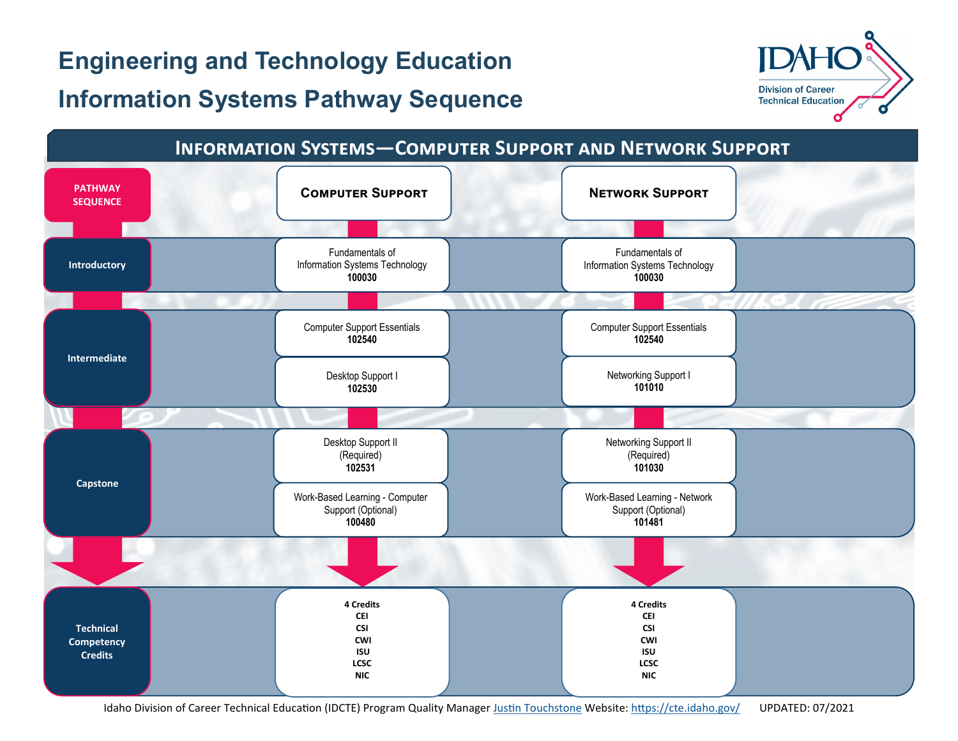# **Engineering and Technology Education**

# **Information Systems Pathway Sequence**



#### **Information Systems—Computer Support and Network Support COMPUTER SUPPORT SEQUENCE Technical Competency Credits 4 Credits CEI CSI CWI ISU LCSC NIC 4 Credits CEI CSI CWI ISU LCSC NIC Intermediate** Computer Support Essentials **102540** Computer Support Essentials **102540 Capstone** Networking Support II (Required) **101030** Desktop Support II (Required) **102531** Networking Support I **101010** Desktop Support I **102530 Introductory** Fundamentals of Information Systems Technology **100030** Fundamentals of Information Systems Technology **100030** Work-Based Learning - Network Support (Optional) **101481** Work-Based Learning - Computer Support (Optional) **100480**

Idaho Division of Career Technical Education (IDCTE) Program Quality Manager [Justin Touchstone](mailto:justin.touchstone@cte.idaho.gov) Website: <https://cte.idaho.gov/>UPDATED: 07/2021